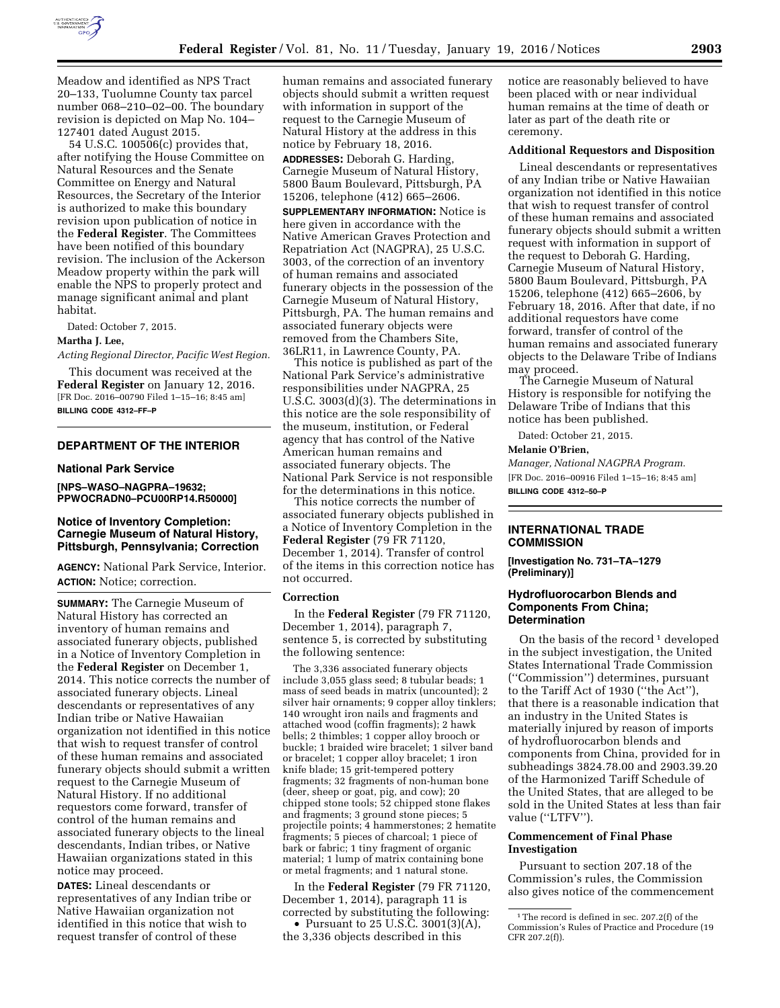

Meadow and identified as NPS Tract 20–133, Tuolumne County tax parcel number 068–210–02–00. The boundary revision is depicted on Map No. 104– 127401 dated August 2015.

54 U.S.C. 100506(c) provides that, after notifying the House Committee on Natural Resources and the Senate Committee on Energy and Natural Resources, the Secretary of the Interior is authorized to make this boundary revision upon publication of notice in the **Federal Register**. The Committees have been notified of this boundary revision. The inclusion of the Ackerson Meadow property within the park will enable the NPS to properly protect and manage significant animal and plant habitat.

Dated: October 7, 2015.

### **Martha J. Lee,**

*Acting Regional Director, Pacific West Region.* 

This document was received at the **Federal Register** on January 12, 2016. [FR Doc. 2016–00790 Filed 1–15–16; 8:45 am] **BILLING CODE 4312–FF–P** 

### **DEPARTMENT OF THE INTERIOR**

#### **National Park Service**

**[NPS–WASO–NAGPRA–19632; PPWOCRADN0–PCU00RP14.R50000]** 

### **Notice of Inventory Completion: Carnegie Museum of Natural History, Pittsburgh, Pennsylvania; Correction**

**AGENCY:** National Park Service, Interior. **ACTION:** Notice; correction.

**SUMMARY:** The Carnegie Museum of Natural History has corrected an inventory of human remains and associated funerary objects, published in a Notice of Inventory Completion in the **Federal Register** on December 1, 2014. This notice corrects the number of associated funerary objects. Lineal descendants or representatives of any Indian tribe or Native Hawaiian organization not identified in this notice that wish to request transfer of control of these human remains and associated funerary objects should submit a written request to the Carnegie Museum of Natural History. If no additional requestors come forward, transfer of control of the human remains and associated funerary objects to the lineal descendants, Indian tribes, or Native Hawaiian organizations stated in this notice may proceed.

**DATES:** Lineal descendants or representatives of any Indian tribe or Native Hawaiian organization not identified in this notice that wish to request transfer of control of these

human remains and associated funerary objects should submit a written request with information in support of the request to the Carnegie Museum of Natural History at the address in this notice by February 18, 2016.

**ADDRESSES:** Deborah G. Harding, Carnegie Museum of Natural History, 5800 Baum Boulevard, Pittsburgh, PA 15206, telephone (412) 665–2606. **SUPPLEMENTARY INFORMATION:** Notice is here given in accordance with the Native American Graves Protection and Repatriation Act (NAGPRA), 25 U.S.C. 3003, of the correction of an inventory of human remains and associated funerary objects in the possession of the Carnegie Museum of Natural History, Pittsburgh, PA. The human remains and associated funerary objects were removed from the Chambers Site, 36LR11, in Lawrence County, PA.

This notice is published as part of the National Park Service's administrative responsibilities under NAGPRA, 25 U.S.C. 3003(d)(3). The determinations in this notice are the sole responsibility of the museum, institution, or Federal agency that has control of the Native American human remains and associated funerary objects. The National Park Service is not responsible for the determinations in this notice.

This notice corrects the number of associated funerary objects published in a Notice of Inventory Completion in the **Federal Register** (79 FR 71120, December 1, 2014). Transfer of control of the items in this correction notice has not occurred.

#### **Correction**

In the **Federal Register** (79 FR 71120, December 1, 2014), paragraph 7, sentence 5, is corrected by substituting the following sentence:

The 3,336 associated funerary objects include 3,055 glass seed; 8 tubular beads; 1 mass of seed beads in matrix (uncounted); 2 silver hair ornaments; 9 copper alloy tinklers; 140 wrought iron nails and fragments and attached wood (coffin fragments); 2 hawk bells; 2 thimbles; 1 copper alloy brooch or buckle; 1 braided wire bracelet; 1 silver band or bracelet; 1 copper alloy bracelet; 1 iron knife blade; 15 grit-tempered pottery fragments; 32 fragments of non-human bone (deer, sheep or goat, pig, and cow); 20 chipped stone tools; 52 chipped stone flakes and fragments; 3 ground stone pieces; 5 projectile points; 4 hammerstones; 2 hematite fragments; 5 pieces of charcoal; 1 piece of bark or fabric; 1 tiny fragment of organic material; 1 lump of matrix containing bone or metal fragments; and 1 natural stone.

In the **Federal Register** (79 FR 71120, December 1, 2014), paragraph 11 is corrected by substituting the following:

• Pursuant to  $25$  U.S.C.  $3001(3)(A)$ , the 3,336 objects described in this

notice are reasonably believed to have been placed with or near individual human remains at the time of death or later as part of the death rite or ceremony.

#### **Additional Requestors and Disposition**

Lineal descendants or representatives of any Indian tribe or Native Hawaiian organization not identified in this notice that wish to request transfer of control of these human remains and associated funerary objects should submit a written request with information in support of the request to Deborah G. Harding, Carnegie Museum of Natural History, 5800 Baum Boulevard, Pittsburgh, PA 15206, telephone (412) 665–2606, by February 18, 2016. After that date, if no additional requestors have come forward, transfer of control of the human remains and associated funerary objects to the Delaware Tribe of Indians may proceed.

The Carnegie Museum of Natural History is responsible for notifying the Delaware Tribe of Indians that this notice has been published.

Dated: October 21, 2015.

#### **Melanie O'Brien,**

*Manager, National NAGPRA Program.*  [FR Doc. 2016–00916 Filed 1–15–16; 8:45 am] **BILLING CODE 4312–50–P** 

#### **INTERNATIONAL TRADE COMMISSION**

**[Investigation No. 731–TA–1279 (Preliminary)]** 

### **Hydrofluorocarbon Blends and Components From China; Determination**

On the basis of the record  $\frac{1}{1}$  developed in the subject investigation, the United States International Trade Commission (''Commission'') determines, pursuant to the Tariff Act of 1930 (''the Act''), that there is a reasonable indication that an industry in the United States is materially injured by reason of imports of hydrofluorocarbon blends and components from China, provided for in subheadings 3824.78.00 and 2903.39.20 of the Harmonized Tariff Schedule of the United States, that are alleged to be sold in the United States at less than fair value (''LTFV'').

### **Commencement of Final Phase Investigation**

Pursuant to section 207.18 of the Commission's rules, the Commission also gives notice of the commencement

 $^{\rm 1}\!$  The record is defined in sec. 207.2(f) of the Commission's Rules of Practice and Procedure (19 CFR 207.2(f)).